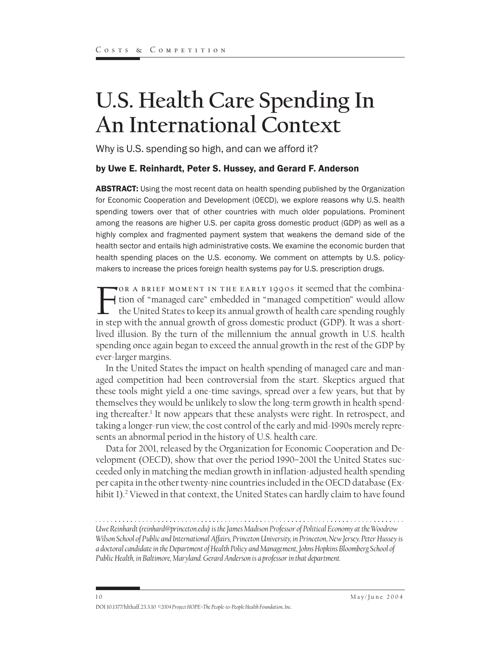# **U.S. Health Care Spending In An International Context**

Why is U.S. spending so high, and can we afford it?

### by Uwe E. Reinhardt, Peter S. Hussey, and Gerard F. Anderson

**ABSTRACT:** Using the most recent data on health spending published by the Organization for Economic Cooperation and Development (OECD), we explore reasons why U.S. health spending towers over that of other countries with much older populations. Prominent among the reasons are higher U.S. per capita gross domestic product (GDP) as well as a highly complex and fragmented payment system that weakens the demand side of the health sector and entails high administrative costs. We examine the economic burden that health spending places on the U.S. economy. We comment on attempts by U.S. policymakers to increase the prices foreign health systems pay for U.S. prescription drugs.

FOR A BRIEF MOMENT IN THE EARLY 1990s it seemed that the combina-<br>tion of "managed care" embedded in "managed competition" would allow<br>the United States to keep its annual growth of health care spending roughly<br>in step wit tion of "managed care" embedded in "managed competition" would allow the United States to keep its annual growth of health care spending roughly in step with the annual growth of gross domestic product (GDP). It was a shortlived illusion. By the turn of the millennium the annual growth in U.S. health spending once again began to exceed the annual growth in the rest of the GDP by ever-larger margins.

In the United States the impact on health spending of managed care and managed competition had been controversial from the start. Skeptics argued that these tools might yield a one-time savings, spread over a few years, but that by themselves they would be unlikely to slow the long-term growth in health spending thereafter.<sup>1</sup> It now appears that these analysts were right. In retrospect, and taking a longer-run view, the cost control of the early and mid-1990s merely represents an abnormal period in the history of U.S. health care.

Data for 2001, released by the Organization for Economic Cooperation and Development (OECD), show that over the period 1990–2001 the United States succeeded only in matching the median growth in inflation-adjusted health spending per capita in the other twenty-nine countries included in the OECD database (Exhibit 1).<sup>2</sup> Viewed in that context, the United States can hardly claim to have found

*Uwe Reinhardt (reinhard@princeton.edu) is the James Madison Professor of Political Economy at the Woodrow Wilson School of Public and International Affairs, Princeton University, in Princeton, New Jersey. Peter Hussey is a doctoral candidate in the Department of Health Policy and Management, Johns Hopkins Bloomberg School of Public Health, in Baltimore, Maryland. Gerard Anderson is a professor in that department.*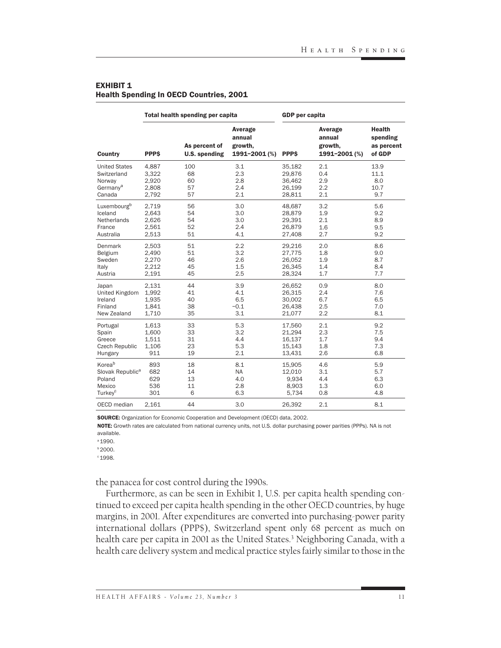|                              | Total health spending per capita |                                       |                                               | <b>GDP</b> per capita |                                               |                                                   |  |
|------------------------------|----------------------------------|---------------------------------------|-----------------------------------------------|-----------------------|-----------------------------------------------|---------------------------------------------------|--|
| Country                      | <b>PPPS</b>                      | As percent of<br><b>U.S. spending</b> | Average<br>annual<br>growth,<br>1991-2001 (%) | <b>PPPS</b>           | Average<br>annual<br>growth,<br>1991-2001 (%) | <b>Health</b><br>spending<br>as percent<br>of GDP |  |
| <b>United States</b>         | 4,887                            | 100                                   | 3.1                                           | 35,182                | 2.1                                           | 13.9                                              |  |
| Switzerland                  | 3,322                            | 68                                    | 2.3                                           | 29,876                | 0.4                                           | 11.1                                              |  |
| Norway                       | 2,920                            | 60                                    | 2.8                                           | 36,462                | 2.9                                           | 8.0                                               |  |
| Germany <sup>a</sup>         | 2,808                            | 57                                    | 2.4                                           | 26,199                | 2.2                                           | 10.7                                              |  |
| Canada                       | 2,792                            | 57                                    | 2.1                                           | 28,811                | 2.1                                           | 9.7                                               |  |
| Luxembourgb                  | 2,719                            | 56                                    | 3.0                                           | 48,687                | 3.2                                           | 5.6                                               |  |
| Iceland                      | 2,643                            | 54                                    | 3.0                                           | 28,879                | 1.9                                           | 9.2                                               |  |
| Netherlands                  | 2,626                            | 54                                    | 3.0                                           | 29,391                | 2.1                                           | 8.9                                               |  |
| France                       | 2,561                            | 52                                    | 2.4                                           | 26,879                | 1.6                                           | 9.5                                               |  |
| Australia                    | 2,513                            | 51                                    | 4.1                                           | 27,408                | 2.7                                           | 9.2                                               |  |
| Denmark                      | 2,503                            | 51                                    | 2.2                                           | 29,216                | 2.0                                           | 8.6                                               |  |
| Belgium                      | 2,490                            | 51                                    | 3.2                                           | 27,775                | 1.8                                           | 9.0                                               |  |
| Sweden                       | 2,270                            | 46                                    | 2.6                                           | 26,052                | 1.9                                           | 8.7                                               |  |
| Italy                        | 2,212                            | 45                                    | 1.5                                           | 26,345                | 1.4                                           | 8.4                                               |  |
| Austria                      | 2,191                            | 45                                    | 2.5                                           | 28,324                | 1.7                                           | 7.7                                               |  |
| Japan                        | 2,131                            | 44                                    | 3.9                                           | 26,652                | 0.9                                           | 8.0                                               |  |
| United Kingdom               | 1,992                            | 41                                    | 4.1                                           | 26,315                | 2.4                                           | 7.6                                               |  |
| Ireland                      | 1,935                            | 40                                    | 6.5                                           | 30,002                | 6.7                                           | 6.5                                               |  |
| Finland                      | 1,841                            | 38                                    | $-0.1$                                        | 26,438                | 2.5                                           | 7.0                                               |  |
| New Zealand                  | 1,710                            | 35                                    | 3.1                                           | 21,077                | 2.2                                           | 8.1                                               |  |
| Portugal                     | 1,613                            | 33                                    | 5.3                                           | 17,560                | 2.1                                           | 9.2                                               |  |
| Spain                        | 1,600                            | 33                                    | 3.2                                           | 21.294                | 2.3                                           | 7.5                                               |  |
| Greece                       | 1,511                            | 31                                    | 4.4                                           | 16,137                | 1.7                                           | 9.4                                               |  |
| Czech Republic               | 1,106                            | 23                                    | 5.3                                           | 15,143                | 1.8                                           | 7.3                                               |  |
| Hungary                      | 911                              | 19                                    | 2.1                                           | 13,431                | 2.6                                           | 6.8                                               |  |
| Korea <sup>b</sup>           | 893                              | 18                                    | 8.1                                           | 15,905                | 4.6                                           | 5.9                                               |  |
| Slovak Republic <sup>a</sup> | 682                              | 14                                    | <b>NA</b>                                     | 12,010                | 3.1                                           | 5.7                                               |  |
| Poland                       | 629                              | 13                                    | 4.0                                           | 9,934                 | 4.4                                           | 6.3                                               |  |
| Mexico                       | 536                              | 11                                    | 2.8                                           | 8,903                 | 1.3                                           | 6.0                                               |  |
| Turkey <sup>c</sup>          | 301                              | 6                                     | 6.3                                           | 5,734                 | 0.8                                           | 4.8                                               |  |
| OECD median                  | 2,161                            | 44                                    | 3.0                                           | 26,392                | 2.1                                           | 8.1                                               |  |

#### **EXHIBIT 1** Health Spending In OECD Countries, 2001

SOURCE: Organization for Economic Cooperation and Development (OECD) data, 2002.

NOTE: Growth rates are calculated from national currency units, not U.S. dollar purchasing power parities (PPPs). NA is not available.

 $^{\circ}$  1990.

 $b$  2000.

 $\degree$ 1998.

the panacea for cost control during the 1990s.

Furthermore, as can be seen in Exhibit 1, U.S. per capita health spending continued to exceed per capita health spending in the other OECD countries, by huge margins, in 2001. After expenditures are converted into purchasing-power parity international dollars (PPP\$), Switzerland spent only 68 percent as much on health care per capita in 2001 as the United States.<sup>3</sup> Neighboring Canada, with a health care delivery system and medical practice styles fairly similar to those in the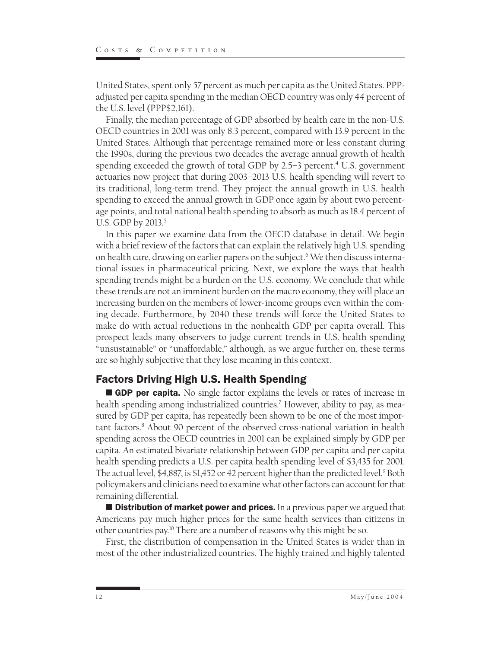United States, spent only 57 percent as much per capita as the United States. PPPadjusted per capita spending in the median OECD country was only 44 percent of the U.S. level (PPP\$2,161).

Finally, the median percentage of GDP absorbed by health care in the non-U.S. OECD countries in 2001 was only 8.3 percent, compared with 13.9 percent in the United States. Although that percentage remained more or less constant during the 1990s, during the previous two decades the average annual growth of health spending exceeded the growth of total GDP by 2.5–3 percent.<sup>4</sup> U.S. government actuaries now project that during 2003–2013 U.S. health spending will revert to its traditional, long-term trend. They project the annual growth in U.S. health spending to exceed the annual growth in GDP once again by about two percentage points, and total national health spending to absorb as much as 18.4 percent of U.S. GDP by 2013.<sup>5</sup>

In this paper we examine data from the OECD database in detail. We begin with a brief review of the factors that can explain the relatively high U.S. spending on health care, drawing on earlier papers on the subject.<sup>6</sup> We then discuss international issues in pharmaceutical pricing. Next, we explore the ways that health spending trends might be a burden on the U.S. economy. We conclude that while these trends are not an imminent burden on the macro economy, they will place an increasing burden on the members of lower-income groups even within the coming decade. Furthermore, by 2040 these trends will force the United States to make do with actual reductions in the nonhealth GDP per capita overall. This prospect leads many observers to judge current trends in U.S. health spending "unsustainable" or "unaffordable," although, as we argue further on, these terms are so highly subjective that they lose meaning in this context.

# Factors Driving High U.S. Health Spending

**GDP per capita.** No single factor explains the levels or rates of increase in health spending among industrialized countries.<sup>7</sup> However, ability to pay, as measured by GDP per capita, has repeatedly been shown to be one of the most important factors.<sup>8</sup> About 90 percent of the observed cross-national variation in health spending across the OECD countries in 2001 can be explained simply by GDP per capita. An estimated bivariate relationship between GDP per capita and per capita health spending predicts a U.S. per capita health spending level of \$3,435 for 2001. The actual level, \$4,887, is \$1,452 or 42 percent higher than the predicted level.<sup>9</sup> Both policymakers and clinicians need to examine what other factors can account for that remaining differential.

**Distribution of market power and prices.** In a previous paper we argued that Americans pay much higher prices for the same health services than citizens in other countries pay.10 There are a number of reasons why this might be so.

First, the distribution of compensation in the United States is wider than in most of the other industrialized countries. The highly trained and highly talented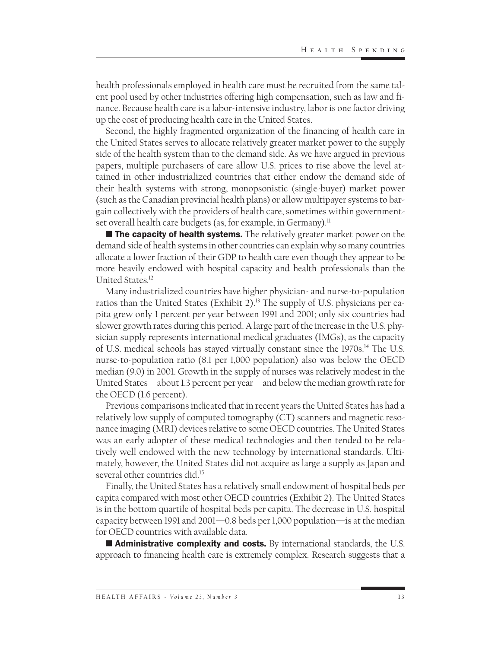health professionals employed in health care must be recruited from the same talent pool used by other industries offering high compensation, such as law and finance. Because health care is a labor-intensive industry, labor is one factor driving up the cost of producing health care in the United States.

Second, the highly fragmented organization of the financing of health care in the United States serves to allocate relatively greater market power to the supply side of the health system than to the demand side. As we have argued in previous papers, multiple purchasers of care allow U.S. prices to rise above the level attained in other industrialized countries that either endow the demand side of their health systems with strong, monopsonistic (single-buyer) market power (such as the Canadian provincial health plans) or allow multipayer systems to bargain collectively with the providers of health care, sometimes within governmentset overall health care budgets (as, for example, in Germany).<sup>11</sup>

**The capacity of health systems.** The relatively greater market power on the demand side of health systems in other countries can explain why so many countries allocate a lower fraction of their GDP to health care even though they appear to be more heavily endowed with hospital capacity and health professionals than the United States.12

Many industrialized countries have higher physician- and nurse-to-population ratios than the United States (Exhibit 2).13 The supply of U.S. physicians per capita grew only 1 percent per year between 1991 and 2001; only six countries had slower growth rates during this period. A large part of the increase in the U.S. physician supply represents international medical graduates (IMGs), as the capacity of U.S. medical schools has stayed virtually constant since the 1970s.14 The U.S. nurse-to-population ratio (8.1 per 1,000 population) also was below the OECD median (9.0) in 2001. Growth in the supply of nurses was relatively modest in the United States—about 1.3 percent per year—and below the median growth rate for the OECD (1.6 percent).

Previous comparisons indicated that in recent years the United States has had a relatively low supply of computed tomography (CT) scanners and magnetic resonance imaging (MRI) devices relative to some OECD countries. The United States was an early adopter of these medical technologies and then tended to be relatively well endowed with the new technology by international standards. Ultimately, however, the United States did not acquire as large a supply as Japan and several other countries did.15

Finally, the United States has a relatively small endowment of hospital beds per capita compared with most other OECD countries (Exhibit 2). The United States is in the bottom quartile of hospital beds per capita. The decrease in U.S. hospital capacity between 1991 and 2001—0.8 beds per 1,000 population—is at the median for OECD countries with available data.

**Administrative complexity and costs.** By international standards, the U.S. approach to financing health care is extremely complex. Research suggests that a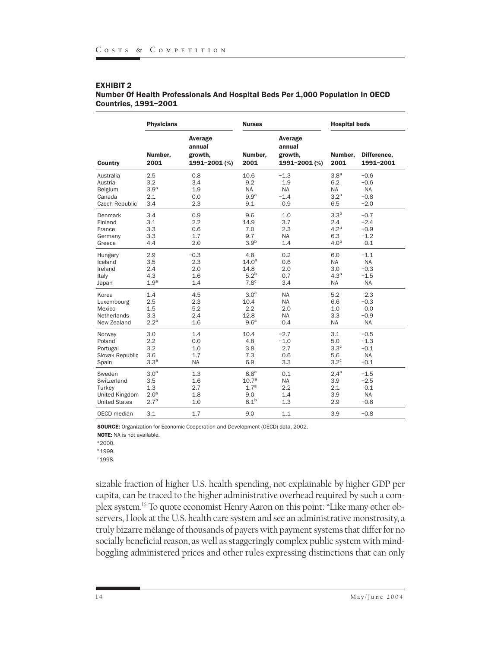#### EXHIBIT 2 Number Of Health Professionals And Hospital Beds Per 1,000 Population In OECD Countries, 1991–2001

|                      | <b>Physicians</b> |                                               | <b>Nurses</b>     |                                               | <b>Hospital beds</b> |                          |
|----------------------|-------------------|-----------------------------------------------|-------------------|-----------------------------------------------|----------------------|--------------------------|
| <b>Country</b>       | Number,<br>2001   | Average<br>annual<br>growth,<br>1991-2001 (%) | Number,<br>2001   | Average<br>annual<br>growth,<br>1991-2001 (%) | Number,<br>2001      | Difference,<br>1991-2001 |
| Australia            | 2.5               | 0.8                                           | 10.6              | $-1.3$                                        | 3.8 <sup>a</sup>     | $-0.6$                   |
| Austria              | 3.2               | 3.4                                           | 9.2               | 1.9                                           | 6.2                  | $-0.6$                   |
| Belgium              | 3.9 <sup>a</sup>  | 1.9                                           | <b>NA</b>         | <b>NA</b>                                     | NA.                  | <b>NA</b>                |
| Canada               | 2.1               | 0.0                                           | 9.9 <sup>a</sup>  | $-1.4$                                        | 3.2 <sup>a</sup>     | $-0.8$                   |
| Czech Republic       | 3.4               | 2.3                                           | 9.1               | 0.9                                           | 6.5                  | $-2.0$                   |
| Denmark              | 3.4               | 0.9                                           | 9.6               | 1.0                                           | 3.3 <sup>b</sup>     | $-0.7$                   |
| Finland              | 3.1               | 2.2                                           | 14.9              | 3.7                                           | 2.4                  | $-2.4$                   |
| France               | 3.3               | 0.6                                           | 7.0               | 2.3                                           | 4.2 <sup>a</sup>     | $-0.9$                   |
| Germany              | 3.3               | 1.7                                           | 9.7               | <b>NA</b>                                     | 6.3                  | $-1.2$                   |
| Greece               | 4.4               | 2.0                                           | 3.9 <sup>b</sup>  | 1.4                                           | 4.0 <sup>b</sup>     | 0.1                      |
| Hungary              | 2.9               | $-0.3$                                        | 4.8               | 0.2                                           | 6.0                  | $-1.1$                   |
| Iceland              | 3.5               | 2.3                                           | $14.0^{\circ}$    | 0.6                                           | <b>NA</b>            | <b>NA</b>                |
| Ireland              | 2.4               | 2.0                                           | 14.8              | 2.0                                           | 3.0                  | $-0.3$                   |
| Italy                | 4.3               | 1.6                                           | 5.2 <sup>b</sup>  | 0.7                                           | 4.3 <sup>a</sup>     | $-1.5$                   |
| Japan                | 1.9 <sup>a</sup>  | 1.4                                           | 7.8 <sup>c</sup>  | 3.4                                           | <b>NA</b>            | <b>NA</b>                |
| Korea                | 1.4               | 4.5                                           | 3.0 <sup>a</sup>  | <b>NA</b>                                     | 5.2                  | 2.3                      |
| Luxembourg           | 2.5               | 2.3                                           | 10.4              | <b>NA</b>                                     | 6.6                  | $-0.3$                   |
| Mexico               | 1.5               | 5.2                                           | 2.2               | 2.0                                           | 1.0                  | 0.0                      |
| Netherlands          | 3.3               | 2.4                                           | 12.8              | <b>NA</b>                                     | 3.3                  | $-0.9$                   |
| New Zealand          | $2.2^a$           | 1.6                                           | 9.6 <sup>a</sup>  | 0.4                                           | <b>NA</b>            | <b>NA</b>                |
| Norway               | 3.0               | 1.4                                           | 10.4              | $-2.7$                                        | 3.1                  | $-0.5$                   |
| Poland               | 2.2               | 0.0                                           | 4.8               | $-1.0$                                        | 5.0                  | $-1.3$                   |
| Portugal             | 3.2               | 1.0                                           | 3.8               | 2.7                                           | 3.3 <sup>c</sup>     | $-0.1$                   |
| Slovak Republic      | 3.6               | 1.7                                           | 7.3               | 0.6                                           | 5.6                  | <b>NA</b>                |
| Spain                | 3.3 <sup>a</sup>  | <b>NA</b>                                     | 6.9               | 3.3                                           | 3.2 <sup>c</sup>     | $-0.1$                   |
| Sweden               | 3.0 <sup>a</sup>  | 1.3                                           | 8.8 <sup>a</sup>  | 0.1                                           | 2.4 <sup>a</sup>     | $-1.5$                   |
| Switzerland          | 3.5               | 1.6                                           | 10.7 <sup>a</sup> | <b>NA</b>                                     | 3.9                  | $-2.5$                   |
| Turkey               | 1.3               | 2.7                                           | 1.7 <sup>a</sup>  | 2.2                                           | 2.1                  | 0.1                      |
| United Kingdom       | 2.0 <sup>a</sup>  | 1.8                                           | 9.0               | 1.4                                           | 3.9                  | <b>NA</b>                |
| <b>United States</b> | $2.7^{b}$         | 1.0                                           | 8.1 <sup>b</sup>  | 1.3                                           | 2.9                  | $-0.8$                   |
| OECD median          | 3.1               | 1.7                                           | 9.0               | 1.1                                           | 3.9                  | $-0.8$                   |

SOURCE: Organization for Economic Cooperation and Development (OECD) data, 2002. NOTE: NA is not available.

 $a_{2000}$ .

 $b$  1999.

<sup>c</sup> 1998.

sizable fraction of higher U.S. health spending, not explainable by higher GDP per capita, can be traced to the higher administrative overhead required by such a complex system.16 To quote economist Henry Aaron on this point: "Like many other observers, I look at the U.S. health care system and see an administrative monstrosity, a truly bizarre mélange of thousands of payers with payment systems that differ for no socially beneficial reason, as well as staggeringly complex public system with mindboggling administered prices and other rules expressing distinctions that can only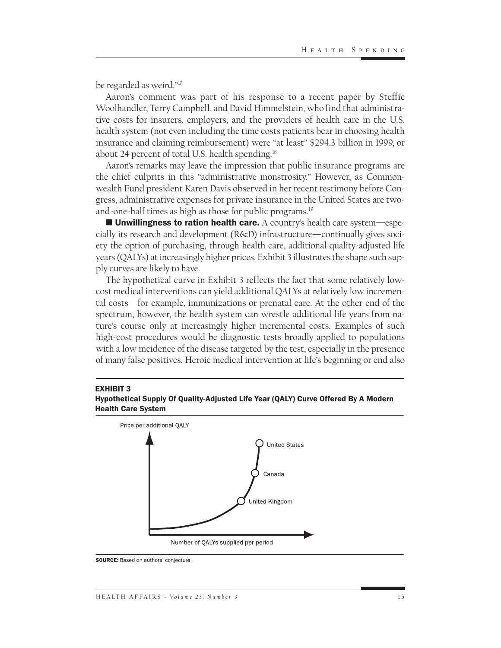be regarded as weird."17

Aaron's comment was part of his response to a recent paper by Steffie Woolhandler, Terry Campbell, and David Himmelstein, who find that administrative costs for insurers, employers, and the providers of health care in the U.S. health system (not even including the time costs patients bear in choosing health insurance and claiming reimbursement) were "at least" \$294.3 billion in 1999, or about 24 percent of total U.S. health spending.<sup>18</sup>

Aaron's remarks may leave the impression that public insurance programs are the chief culprits in this "administrative monstrosity." However, as Commonwealth Fund president Karen Davis observed in her recent testimony before Congress, administrative expenses for private insurance in the United States are twoand-one-half times as high as those for public programs.<sup>19</sup>

**Unwillingness to ration health care.** A country's health care system—especially its research and development (R&D) infrastructure—continually gives society the option of purchasing, through health care, additional quality-adjusted life years (QALYs) at increasingly higher prices. Exhibit 3 illustrates the shape such supply curves are likely to have.

The hypothetical curve in Exhibit 3 reflects the fact that some relatively lowcost medical interventions can yield additional QALYs at relatively low incremental costs—for example, immunizations or prenatal care. At the other end of the spectrum, however, the health system can wrestle additional life years from nature's course only at increasingly higher incremental costs. Examples of such high-cost procedures would be diagnostic tests broadly applied to populations with a low incidence of the disease targeted by the test, especially in the presence of many false positives. Heroic medical intervention at life's beginning or end also





**SOURCE:** Based on authors' conjecture.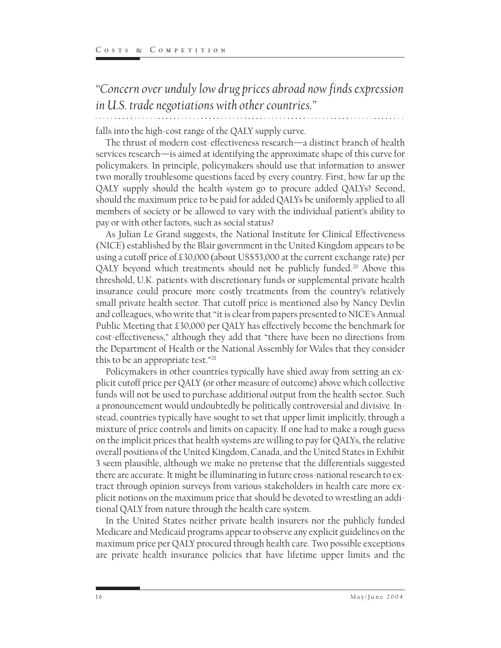# *"Concern over unduly low drug prices abroad now finds expression in U.S. trade negotiations with other countries."*

falls into the high-cost range of the QALY supply curve.

The thrust of modern cost-effectiveness research—a distinct branch of health services research—is aimed at identifying the approximate shape of this curve for policymakers. In principle, policymakers should use that information to answer two morally troublesome questions faced by every country. First, how far up the QALY supply should the health system go to procure added QALYs? Second, should the maximum price to be paid for added QALYs be uniformly applied to all members of society or be allowed to vary with the individual patient's ability to pay or with other factors, such as social status?

As Julian Le Grand suggests, the National Institute for Clinical Effectiveness (NICE) established by the Blair government in the United Kingdom appears to be using a cutoff price of £30,000 (about US\$53,000 at the current exchange rate) per QALY beyond which treatments should not be publicly funded.<sup>20</sup> Above this threshold, U.K. patients with discretionary funds or supplemental private health insurance could procure more costly treatments from the country's relatively small private health sector. That cutoff price is mentioned also by Nancy Devlin and colleagues, who write that "it is clear from papers presented to NICE's Annual Public Meeting that £30,000 per QALY has effectively become the benchmark for cost-effectiveness," although they add that "there have been no directions from the Department of Health or the National Assembly for Wales that they consider this to be an appropriate test."21

Policymakers in other countries typically have shied away from setting an explicit cutoff price per QALY (or other measure of outcome) above which collective funds will not be used to purchase additional output from the health sector. Such a pronouncement would undoubtedly be politically controversial and divisive. Instead, countries typically have sought to set that upper limit implicitly, through a mixture of price controls and limits on capacity. If one had to make a rough guess on the implicit prices that health systems are willing to pay for QALYs, the relative overall positions of the United Kingdom, Canada, and the United States in Exhibit 3 seem plausible, although we make no pretense that the differentials suggested there are accurate. It might be illuminating in future cross-national research to extract through opinion surveys from various stakeholders in health care more explicit notions on the maximum price that should be devoted to wrestling an additional QALY from nature through the health care system.

In the United States neither private health insurers nor the publicly funded Medicare and Medicaid programs appear to observe any explicit guidelines on the maximum price per QALY procured through health care. Two possible exceptions are private health insurance policies that have lifetime upper limits and the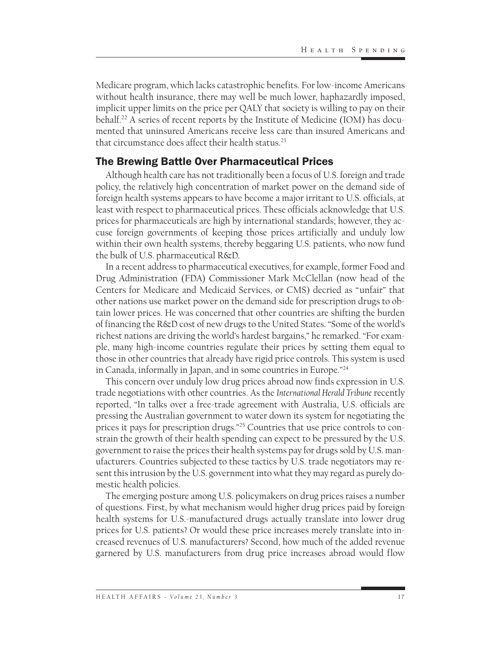Medicare program, which lacks catastrophic benefits. For low-income Americans without health insurance, there may well be much lower, haphazardly imposed, implicit upper limits on the price per QALY that society is willing to pay on their behalf.22 A series of recent reports by the Institute of Medicine (IOM) has documented that uninsured Americans receive less care than insured Americans and that circumstance does affect their health status.<sup>23</sup>

# The Brewing Battle Over Pharmaceutical Prices

Although health care has not traditionally been a focus of U.S. foreign and trade policy, the relatively high concentration of market power on the demand side of foreign health systems appears to have become a major irritant to U.S. officials, at least with respect to pharmaceutical prices. These officials acknowledge that U.S. prices for pharmaceuticals are high by international standards; however, they accuse foreign governments of keeping those prices artificially and unduly low within their own health systems, thereby beggaring U.S. patients, who now fund the bulk of U.S. pharmaceutical R&D.

In a recent address to pharmaceutical executives, for example, former Food and Drug Administration (FDA) Commissioner Mark McClellan (now head of the Centers for Medicare and Medicaid Services, or CMS) decried as "unfair" that other nations use market power on the demand side for prescription drugs to obtain lower prices. He was concerned that other countries are shifting the burden of financing the R&D cost of new drugs to the United States. "Some of the world's richest nations are driving the world's hardest bargains," he remarked. "For example, many high-income countries regulate their prices by setting them equal to those in other countries that already have rigid price controls. This system is used in Canada, informally in Japan, and in some countries in Europe."24

This concern over unduly low drug prices abroad now finds expression in U.S. trade negotiations with other countries. As the *International Herald Tribune* recently reported, "In talks over a free-trade agreement with Australia, U.S. officials are pressing the Australian government to water down its system for negotiating the prices it pays for prescription drugs."25 Countries that use price controls to constrain the growth of their health spending can expect to be pressured by the U.S. government to raise the prices their health systems pay for drugs sold by U.S. manufacturers. Countries subjected to these tactics by U.S. trade negotiators may resent this intrusion by the U.S. government into what they may regard as purely domestic health policies.

The emerging posture among U.S. policymakers on drug prices raises a number of questions. First, by what mechanism would higher drug prices paid by foreign health systems for U.S.-manufactured drugs actually translate into lower drug prices for U.S. patients? Or would these price increases merely translate into increased revenues of U.S. manufacturers? Second, how much of the added revenue garnered by U.S. manufacturers from drug price increases abroad would flow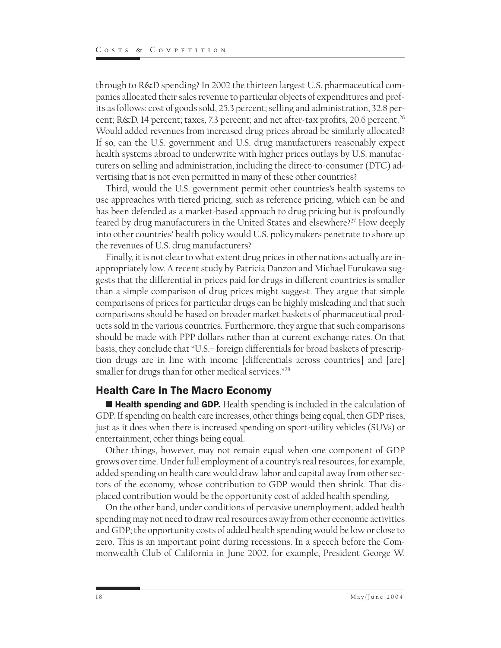through to R&D spending? In 2002 the thirteen largest U.S. pharmaceutical companies allocated their sales revenue to particular objects of expenditures and profits as follows: cost of goods sold, 25.3 percent; selling and administration, 32.8 percent; R&D, 14 percent; taxes, 7.3 percent; and net after-tax profits, 20.6 percent.26 Would added revenues from increased drug prices abroad be similarly allocated? If so, can the U.S. government and U.S. drug manufacturers reasonably expect health systems abroad to underwrite with higher prices outlays by U.S. manufacturers on selling and administration, including the direct-to-consumer (DTC) advertising that is not even permitted in many of these other countries?

Third, would the U.S. government permit other countries's health systems to use approaches with tiered pricing, such as reference pricing, which can be and has been defended as a market-based approach to drug pricing but is profoundly feared by drug manufacturers in the United States and elsewhere?<sup>27</sup> How deeply into other countries' health policy would U.S. policymakers penetrate to shore up the revenues of U.S. drug manufacturers?

Finally, it is not clear to what extent drug prices in other nations actually are inappropriately low. A recent study by Patricia Danzon and Michael Furukawa suggests that the differential in prices paid for drugs in different countries is smaller than a simple comparison of drug prices might suggest. They argue that simple comparisons of prices for particular drugs can be highly misleading and that such comparisons should be based on broader market baskets of pharmaceutical products sold in the various countries. Furthermore, they argue that such comparisons should be made with PPP dollars rather than at current exchange rates. On that basis, they conclude that "U.S.– foreign differentials for broad baskets of prescription drugs are in line with income [differentials across countries] and [are] smaller for drugs than for other medical services."28

## Health Care In The Macro Economy

**Health spending and GDP.** Health spending is included in the calculation of GDP. If spending on health care increases, other things being equal, then GDP rises, just as it does when there is increased spending on sport-utility vehicles (SUVs) or entertainment, other things being equal.

Other things, however, may not remain equal when one component of GDP grows over time. Under full employment of a country's real resources, for example, added spending on health care would draw labor and capital away from other sectors of the economy, whose contribution to GDP would then shrink. That displaced contribution would be the opportunity cost of added health spending.

On the other hand, under conditions of pervasive unemployment, added health spending may not need to draw real resources away from other economic activities and GDP; the opportunity costs of added health spending would be low or close to zero. This is an important point during recessions. In a speech before the Commonwealth Club of California in June 2002, for example, President George W.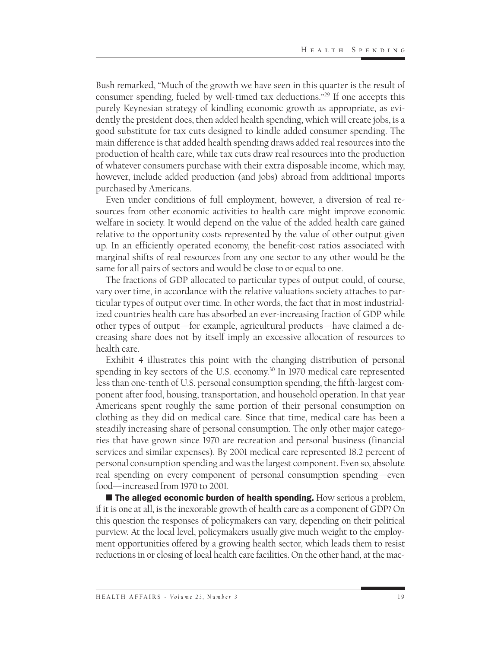Bush remarked, "Much of the growth we have seen in this quarter is the result of consumer spending, fueled by well-timed tax deductions."29 If one accepts this purely Keynesian strategy of kindling economic growth as appropriate, as evidently the president does, then added health spending, which will create jobs, is a good substitute for tax cuts designed to kindle added consumer spending. The main difference is that added health spending draws added real resources into the production of health care, while tax cuts draw real resources into the production of whatever consumers purchase with their extra disposable income, which may, however, include added production (and jobs) abroad from additional imports purchased by Americans.

Even under conditions of full employment, however, a diversion of real resources from other economic activities to health care might improve economic welfare in society. It would depend on the value of the added health care gained relative to the opportunity costs represented by the value of other output given up. In an efficiently operated economy, the benefit-cost ratios associated with marginal shifts of real resources from any one sector to any other would be the same for all pairs of sectors and would be close to or equal to one.

The fractions of GDP allocated to particular types of output could, of course, vary over time, in accordance with the relative valuations society attaches to particular types of output over time. In other words, the fact that in most industrialized countries health care has absorbed an ever-increasing fraction of GDP while other types of output—for example, agricultural products—have claimed a decreasing share does not by itself imply an excessive allocation of resources to health care.

Exhibit 4 illustrates this point with the changing distribution of personal spending in key sectors of the U.S. economy.<sup>30</sup> In 1970 medical care represented less than one-tenth of U.S. personal consumption spending, the fifth-largest component after food, housing, transportation, and household operation. In that year Americans spent roughly the same portion of their personal consumption on clothing as they did on medical care. Since that time, medical care has been a steadily increasing share of personal consumption. The only other major categories that have grown since 1970 are recreation and personal business (financial services and similar expenses). By 2001 medical care represented 18.2 percent of personal consumption spending and was the largest component. Even so, absolute real spending on every component of personal consumption spending—even food—increased from 1970 to 2001.

**The alleged economic burden of health spending.** How serious a problem, if it is one at all, is the inexorable growth of health care as a component of GDP? On this question the responses of policymakers can vary, depending on their political purview. At the local level, policymakers usually give much weight to the employment opportunities offered by a growing health sector, which leads them to resist reductions in or closing of local health care facilities. On the other hand, at the mac-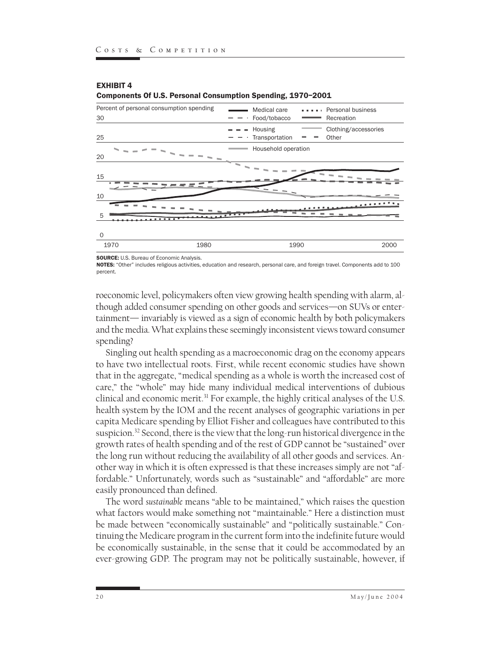

#### EXHIBIT 4 Components Of U.S. Personal Consumption Spending, 1970–2001

SOURCE: U.S. Bureau of Economic Analysis.

NOTES: "Other" includes religious activities, education and research, personal care, and foreign travel. Components add to 100 percent.

roeconomic level, policymakers often view growing health spending with alarm, although added consumer spending on other goods and services—on SUVs or entertainment— invariably is viewed as a sign of economic health by both policymakers and the media. What explains these seemingly inconsistent views toward consumer spending?

Singling out health spending as a macroeconomic drag on the economy appears to have two intellectual roots. First, while recent economic studies have shown that in the aggregate, "medical spending as a whole is worth the increased cost of care," the "whole" may hide many individual medical interventions of dubious clinical and economic merit.<sup>31</sup> For example, the highly critical analyses of the U.S. health system by the IOM and the recent analyses of geographic variations in per capita Medicare spending by Elliot Fisher and colleagues have contributed to this suspicion.32 Second, there is the view that the long-run historical divergence in the growth rates of health spending and of the rest of GDP cannot be "sustained" over the long run without reducing the availability of all other goods and services. Another way in which it is often expressed is that these increases simply are not "affordable." Unfortunately, words such as "sustainable" and "affordable" are more easily pronounced than defined.

The word *sustainable* means "able to be maintained," which raises the question what factors would make something not "maintainable." Here a distinction must be made between "economically sustainable" and "politically sustainable." Continuing the Medicare program in the current form into the indefinite future would be economically sustainable, in the sense that it could be accommodated by an ever-growing GDP. The program may not be politically sustainable, however, if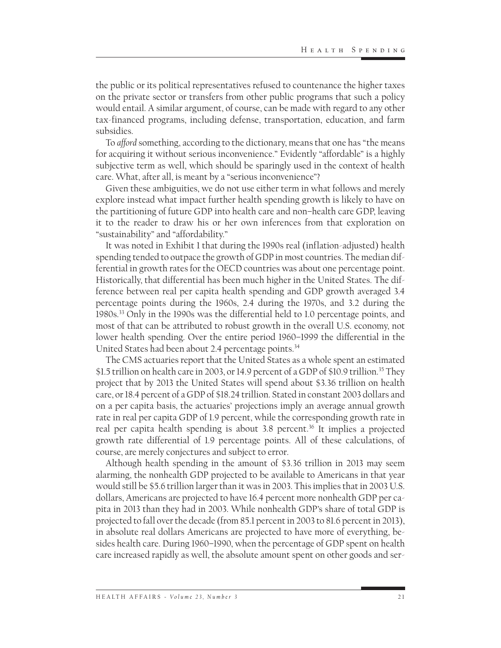the public or its political representatives refused to countenance the higher taxes on the private sector or transfers from other public programs that such a policy would entail. A similar argument, of course, can be made with regard to any other tax-financed programs, including defense, transportation, education, and farm subsidies.

To *afford* something, according to the dictionary, means that one has "the means for acquiring it without serious inconvenience." Evidently "affordable" is a highly subjective term as well, which should be sparingly used in the context of health care. What, after all, is meant by a "serious inconvenience"?

Given these ambiguities, we do not use either term in what follows and merely explore instead what impact further health spending growth is likely to have on the partitioning of future GDP into health care and non–health care GDP, leaving it to the reader to draw his or her own inferences from that exploration on "sustainability" and "affordability."

It was noted in Exhibit 1 that during the 1990s real (inflation-adjusted) health spending tended to outpace the growth of GDP in most countries. The median differential in growth rates for the OECD countries was about one percentage point. Historically, that differential has been much higher in the United States. The difference between real per capita health spending and GDP growth averaged 3.4 percentage points during the 1960s, 2.4 during the 1970s, and 3.2 during the 1980s.33 Only in the 1990s was the differential held to 1.0 percentage points, and most of that can be attributed to robust growth in the overall U.S. economy, not lower health spending. Over the entire period 1960–1999 the differential in the United States had been about 2.4 percentage points.<sup>34</sup>

The CMS actuaries report that the United States as a whole spent an estimated \$1.5 trillion on health care in 2003, or 14.9 percent of a GDP of \$10.9 trillion.35 They project that by 2013 the United States will spend about \$3.36 trillion on health care, or 18.4 percent of a GDP of \$18.24 trillion. Stated in constant 2003 dollars and on a per capita basis, the actuaries' projections imply an average annual growth rate in real per capita GDP of 1.9 percent, while the corresponding growth rate in real per capita health spending is about 3.8 percent.<sup>36</sup> It implies a projected growth rate differential of 1.9 percentage points. All of these calculations, of course, are merely conjectures and subject to error.

Although health spending in the amount of \$3.36 trillion in 2013 may seem alarming, the nonhealth GDP projected to be available to Americans in that year would still be \$5.6 trillion larger than it was in 2003. This implies that in 2003 U.S. dollars, Americans are projected to have 16.4 percent more nonhealth GDP per capita in 2013 than they had in 2003. While nonhealth GDP's share of total GDP is projected to fall over the decade (from 85.1 percent in 2003 to 81.6 percent in 2013), in absolute real dollars Americans are projected to have more of everything, besides health care. During 1960–1990, when the percentage of GDP spent on health care increased rapidly as well, the absolute amount spent on other goods and ser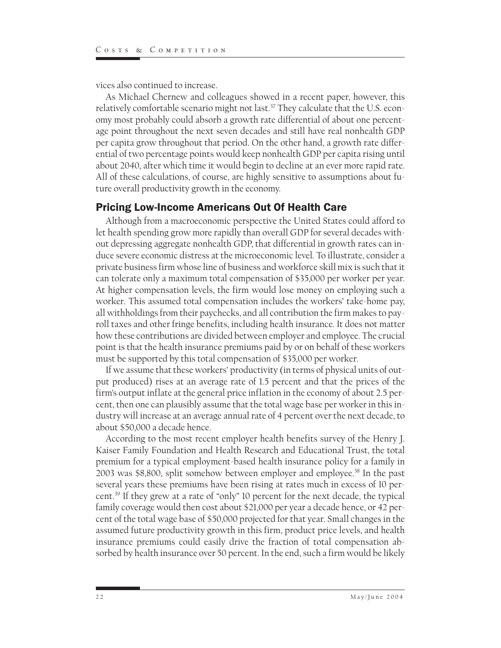vices also continued to increase.

As Michael Chernew and colleagues showed in a recent paper, however, this relatively comfortable scenario might not last.37 They calculate that the U.S. economy most probably could absorb a growth rate differential of about one percentage point throughout the next seven decades and still have real nonhealth GDP per capita grow throughout that period. On the other hand, a growth rate differential of two percentage points would keep nonhealth GDP per capita rising until about 2040, after which time it would begin to decline at an ever more rapid rate. All of these calculations, of course, are highly sensitive to assumptions about future overall productivity growth in the economy.

## Pricing Low-Income Americans Out Of Health Care

Although from a macroeconomic perspective the United States could afford to let health spending grow more rapidly than overall GDP for several decades without depressing aggregate nonhealth GDP, that differential in growth rates can induce severe economic distress at the microeconomic level. To illustrate, consider a private business firm whose line of business and workforce skill mix is such that it can tolerate only a maximum total compensation of \$35,000 per worker per year. At higher compensation levels, the firm would lose money on employing such a worker. This assumed total compensation includes the workers' take-home pay, all withholdings from their paychecks, and all contribution the firm makes to payroll taxes and other fringe benefits, including health insurance. It does not matter how these contributions are divided between employer and employee. The crucial point is that the health insurance premiums paid by or on behalf of these workers must be supported by this total compensation of \$35,000 per worker.

If we assume that these workers' productivity (in terms of physical units of output produced) rises at an average rate of 1.5 percent and that the prices of the firm's output inflate at the general price inflation in the economy of about 2.5 percent, then one can plausibly assume that the total wage base per worker in this industry will increase at an average annual rate of 4 percent over the next decade, to about \$50,000 a decade hence.

According to the most recent employer health benefits survey of the Henry J. Kaiser Family Foundation and Health Research and Educational Trust, the total premium for a typical employment-based health insurance policy for a family in 2003 was \$8,800, split somehow between employer and employee.38 In the past several years these premiums have been rising at rates much in excess of 10 percent.39 If they grew at a rate of "only" 10 percent for the next decade, the typical family coverage would then cost about \$21,000 per year a decade hence, or 42 percent of the total wage base of \$50,000 projected for that year. Small changes in the assumed future productivity growth in this firm, product price levels, and health insurance premiums could easily drive the fraction of total compensation absorbed by health insurance over 50 percent. In the end, such a firm would be likely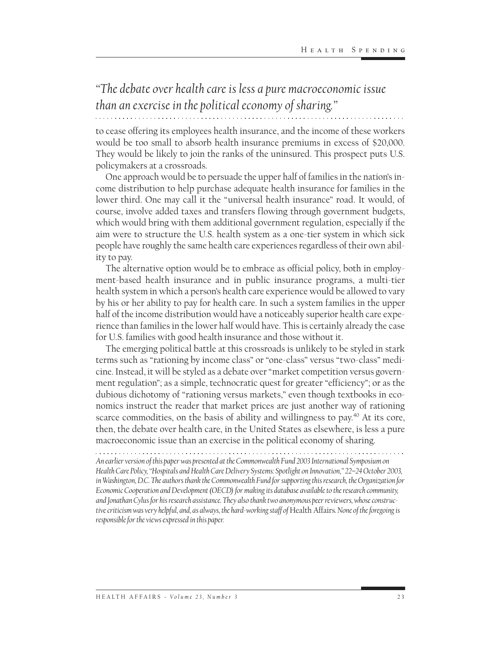# *"The debate over health care is less a pure macroeconomic issue than an exercise in the political economy of sharing."*

to cease offering its employees health insurance, and the income of these workers would be too small to absorb health insurance premiums in excess of \$20,000. They would be likely to join the ranks of the uninsured. This prospect puts U.S. policymakers at a crossroads.

One approach would be to persuade the upper half of families in the nation's income distribution to help purchase adequate health insurance for families in the lower third. One may call it the "universal health insurance" road. It would, of course, involve added taxes and transfers flowing through government budgets, which would bring with them additional government regulation, especially if the aim were to structure the U.S. health system as a one-tier system in which sick people have roughly the same health care experiences regardless of their own ability to pay.

The alternative option would be to embrace as official policy, both in employment-based health insurance and in public insurance programs, a multi-tier health system in which a person's health care experience would be allowed to vary by his or her ability to pay for health care. In such a system families in the upper half of the income distribution would have a noticeably superior health care experience than families in the lower half would have. This is certainly already the case for U.S. families with good health insurance and those without it.

The emerging political battle at this crossroads is unlikely to be styled in stark terms such as "rationing by income class" or "one-class" versus "two-class" medicine. Instead, it will be styled as a debate over "market competition versus government regulation"; as a simple, technocratic quest for greater "efficiency"; or as the dubious dichotomy of "rationing versus markets," even though textbooks in economics instruct the reader that market prices are just another way of rationing scarce commodities, on the basis of ability and willingness to pay.40 At its core, then, the debate over health care, in the United States as elsewhere, is less a pure macroeconomic issue than an exercise in the political economy of sharing.

*An earlier version of this paper was presented at the Commonwealth Fund 2003 International Symposium on Health Care Policy, "Hospitals and Health Care Delivery Systems: Spotlight on Innovation," 22–24 October 2003, in Washington, D.C. The authors thank the Commonwealth Fund for supporting this research, the Organization for Economic Cooperation and Development (OECD) for making its database available to the research community, and Jonathan Cylus for his research assistance. They also thank two anonymous peer reviewers, whose constructive criticism was very helpful, and, as always, the hard-working staff of*Health Affairs*. None of the foregoing is responsible for the views expressed in this paper.*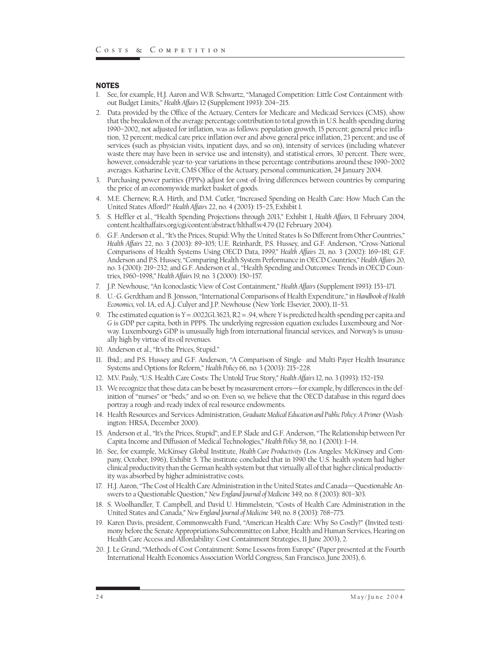#### NOTES

- 1. See, for example, H.J. Aaron and W.B. Schwartz, "Managed Competition: Little Cost Containment without Budget Limits," *Health Affairs* 12 (Supplement 1993): 204–215.
- 2. Data provided by the Office of the Actuary, Centers for Medicare and Medicaid Services (CMS), show that the breakdown of the average percentage contribution to total growth in U.S. health spending during 1990–2002, not adjusted for inflation, was as follows: population growth, 15 percent; general price inflation, 32 percent; medical care price inflation over and above general price inflation, 23 percent; and use of services (such as physician visits, inpatient days, and so on), intensity of services (including whatever waste there may have been in service use and intensity), and statistical errors, 30 percent. There were, however, considerable year-to-year variations in these percentage contributions around these 1990–2002 averages. Katharine Levit, CMS Office of the Actuary, personal communication, 24 January 2004.
- 3. Purchasing power parities (PPPs) adjust for cost-of-living differences between countries by comparing the price of an economywide market basket of goods.
- 4. M.E. Chernew, R.A. Hirth, and D.M. Cutler, "Increased Spending on Health Care: How Much Can the United States Afford?" *Health Affairs* 22, no. 4 (2003): 15–25, Exhibit 1.
- 5. S. Heffler et al., "Health Spending Projections through 2013," Exhibit 1, *Health Affairs*, 11 February 2004, content.healthaffairs.org/cgi/content/abstract/hlthaff.w4.79 (12 February 2004).
- 6. G.F. Anderson et al., "It's the Prices, Stupid: Why the United States Is So Different from Other Countries," *Health Affairs* 22, no. 3 (2003): 89–105; U.E. Reinhardt, P.S. Hussey, and G.F. Anderson, "Cross-National Comparisons of Health Systems Using OECD Data, 1999," *Health Affairs* 21, no. 3 (2002): 169–181; G.F. Anderson and P.S. Hussey, "Comparing Health System Performance in OECD Countries," *Health Affairs* 20, no. 3 (2001): 219–232; and G.F. Anderson et al., "Health Spending and Outcomes: Trends in OECD Countries, 1960–1998," *Health Affairs* 19, no. 3 (2000): 150–157.
- 7. J.P. Newhouse, "An Iconoclastic View of Cost Containment," *Health Affairs* (Supplement 1993): 153–171.
- 8. U.-G. Gerdtham and B. Jönsson, "International Comparisons of Health Expenditure," in *Handbook of Health Economics,* vol. 1A, ed A.J. Culyer and J.P. Newhouse (New York: Elsevier, 2000), 11–53.
- 9. The estimated equation is *Y* = .0022*G*1.3623, R2 = .94, where *Y* is predicted health spending per capita and *G* is GDP per capita, both in PPP\$. The underlying regression equation excludes Luxembourg and Norway. Luxembourg's GDP is unusually high from international financial services, and Norway's is unusually high by virtue of its oil revenues.
- 10. Anderson et al., "It's the Prices, Stupid."
- 11. Ibid.; and P.S. Hussey and G.F. Anderson, "A Comparison of Single- and Multi-Payer Health Insurance Systems and Options for Reform," *Health Policy* 66, no. 3 (2003): 215–228.
- 12. M.V. Pauly, "U.S. Health Care Costs: The Untold True Story," *Health Affairs* 12, no. 3 (1993): 152–159.
- 13. We recognize that these data can be beset by measurement errors—for example, by differences in the definition of "nurses" or "beds," and so on. Even so, we believe that the OECD database in this regard does portray a rough-and-ready index of real resource endowments.
- 14. Health Resources and Services Administration, *Graduate Medical Education and Public Policy: A Primer*(Washington: HRSA, December 2000).
- 15. Anderson et al., "It's the Prices, Stupid"; and E.P. Slade and G.F. Anderson, "The Relationship between Per Capita Income and Diffusion of Medical Technologies," *Health Policy* 58, no. 1 (2001): 1–14.
- 16. See, for example, McKinsey Global Institute, *Health Care Productivity* (Los Angeles: McKinsey and Company, October, 1996), Exhibit 5. The institute concluded that in 1990 the U.S. health system had higher clinical productivity than the German health system but that virtually all of that higher clinical productivity was absorbed by higher administrative costs.
- 17. H.J. Aaron, "The Cost of Health Care Administration in the United States and Canada—Questionable Answers to a Questionable Question," *New England Journal of Medicine* 349, no. 8 (2003): 801–303.
- 18. S. Woolhandler, T. Campbell, and David U. Himmelstein, "Costs of Health Care Administration in the United States and Canada," *New England Journal of Medicine* 349, no. 8 (2003): 768–775.
- 19. Karen Davis, president, Commonwealth Fund, "American Health Care: Why So Costly?" (Invited testimony before the Senate Appropriations Subcommittee on Labor, Health and Human Services, Hearing on Health Care Access and Affordability: Cost Containment Strategies, 11 June 2003), 2.
- 20. J. Le Grand, "Methods of Cost Containment: Some Lessons from Europe" (Paper presented at the Fourth International Health Economics Association World Congress, San Francisco, June 2003), 6.